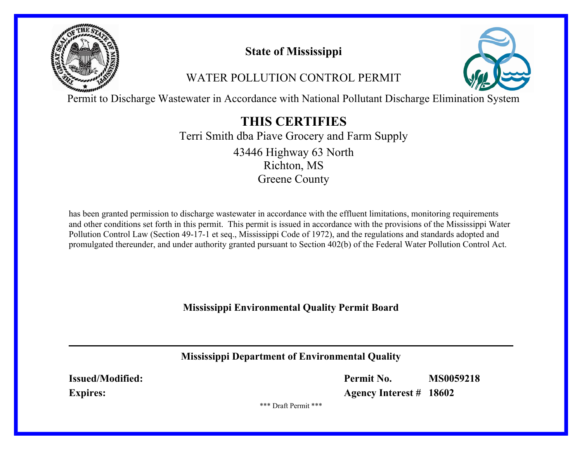

# **State of Mississippi**

# WATER POLLUTION CONTROL PERMIT



Permit to Discharge Wastewater in Accordance with National Pollutant Discharge Elimination System

# **THIS CERTIFIES**

Terri Smith dba Piave Grocery and Farm Supply Richton, MS Greene County 43446 Highway 63 North

has been granted permission to discharge wastewater in accordance with the effluent limitations, monitoring requirements and other conditions set forth in this permit. This permit is issued in accordance with the provisions of the Mississippi Water Pollution Control Law (Section 49-17-1 et seq., Mississippi Code of 1972), and the regulations and standards adopted and promulgated thereunder, and under authority granted pursuant to Section 402(b) of the Federal Water Pollution Control Act.

**Mississippi Environmental Quality Permit Board**

**Mississippi Department of Environmental Quality**

**Issued/Modified: Expires:**

**Permit No. MS0059218**

**Agency Interest # 18602**

\*\*\* Draft Permit \*\*\*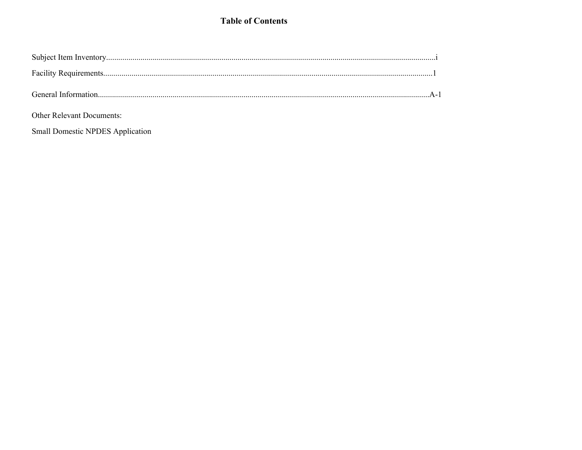## **Table of Contents**

| <b>Other Relevant Documents:</b> |  |
|----------------------------------|--|

Small Domestic NPDES Application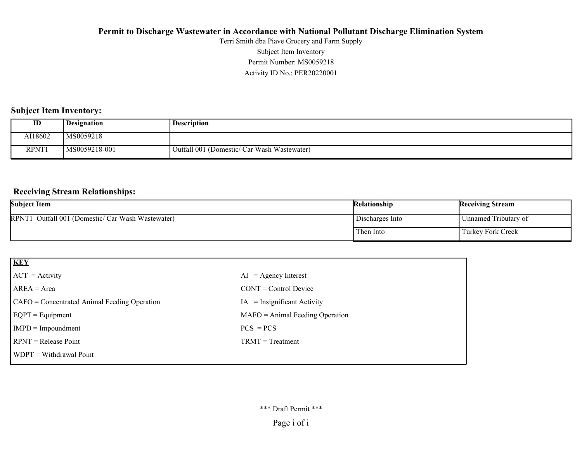Activity ID No.: PER20220001 Permit Number: MS0059218 Subject Item Inventory Terri Smith dba Piave Grocery and Farm Supply

#### **Subject Item Inventory:**

| ID                | <b>Designation</b> | <b>Description</b>                          |
|-------------------|--------------------|---------------------------------------------|
| AI18602           | MS0059218          |                                             |
| RPNT <sub>1</sub> | MS0059218-001      | Outfall 001 (Domestic/ Car Wash Wastewater) |

#### **Receiving Stream Relationships:**

| <b>Subject Item</b>                               | <b>Relationship</b> | <b>Receiving Stream</b> |
|---------------------------------------------------|---------------------|-------------------------|
| RPNT1 Outfall 001 (Domestic/ Car Wash Wastewater) | Discharges Into     | Unnamed Tributary of    |
|                                                   | Then Into           | Turkey Fork Creek       |

| <b>KEY</b>                                   |                                   |
|----------------------------------------------|-----------------------------------|
| $ ACT = Activity$                            | $AI = Agency Interest$            |
| $AREA = Area$                                | $CONT = Control$ Device           |
| CAFO = Concentrated Animal Feeding Operation | $=$ Insignificant Activity<br>IA  |
| $EQPT = Equipment$                           | $MAFO = Animal Feeding Operation$ |
| $IMPD = Impoundment$                         | $PCS = PCS$                       |
| $RPNT = Release Point$                       | $TRMT = Treatment$                |
| $\vert$ WDPT = Withdrawal Point              |                                   |
|                                              |                                   |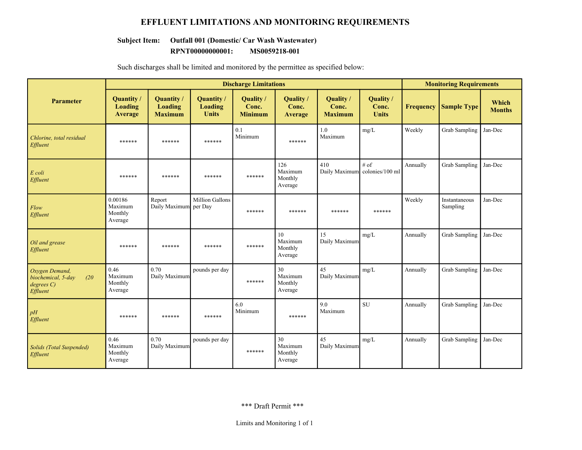#### **EFFLUENT LIMITATIONS AND MONITORING REQUIREMENTS**

# **Subject Item: Outfall 001 (Domestic/ Car Wash Wastewater)**

**RPNT00000000001: MS0059218-001**

|                                                                        | <b>Discharge Limitations</b>             |                                                |                                              |                                      |                                                   |                                      |                                    | <b>Monitoring Requirements</b> |                           |                        |
|------------------------------------------------------------------------|------------------------------------------|------------------------------------------------|----------------------------------------------|--------------------------------------|---------------------------------------------------|--------------------------------------|------------------------------------|--------------------------------|---------------------------|------------------------|
| <b>Parameter</b>                                                       | Quantity/<br>Loading<br><b>Average</b>   | Quantity /<br><b>Loading</b><br><b>Maximum</b> | Quantity /<br><b>Loading</b><br><b>Units</b> | Quality /<br>Conc.<br><b>Minimum</b> | Quality /<br>Conc.<br><b>Average</b>              | Quality /<br>Conc.<br><b>Maximum</b> | Quality /<br>Conc.<br><b>Units</b> | <b>Frequency</b>               | <b>Sample Type</b>        | Which<br><b>Months</b> |
| Chlorine, total residual<br>Effluent                                   | ******                                   | ******                                         | ******                                       | 0.1<br>Minimum                       | ******                                            | 1.0<br>Maximum                       | mg/L                               | Weekly                         | Grab Sampling             | Jan-Dec                |
| E coli<br>Effluent                                                     | ******                                   | ******                                         | ******                                       | ******                               | 126<br>Maximum<br>Monthly<br>Average              | 410<br>Daily Maximum colonies/100 ml | # of                               | Annually                       | Grab Sampling             | Jan-Dec                |
| Flow<br>Effluent                                                       | 0.00186<br>Maximum<br>Monthly<br>Average | Report<br>Daily Maximum per Day                | <b>Million Gallons</b>                       | ******                               | ******                                            | ******                               | ******                             | Weekly                         | Instantaneous<br>Sampling | Jan-Dec                |
| Oil and grease<br>Effluent                                             | ******                                   | ******                                         | ******                                       | ******                               | 10 <sup>10</sup><br>Maximum<br>Monthly<br>Average | 15<br>Daily Maximum                  | mg/L                               | Annually                       | Grab Sampling             | Jan-Dec                |
| Oxygen Demand,<br>biochemical, 5-day<br>(20)<br>degrees C)<br>Effluent | 0.46<br>Maximum<br>Monthly<br>Average    | 0.70<br>Daily Maximum                          | pounds per day                               | ******                               | 30<br>Maximum<br>Monthly<br>Average               | 45<br>Daily Maximum                  | mg/L                               | Annually                       | Grab Sampling             | Jan-Dec                |
| pH<br>Effluent                                                         | ******                                   | ******                                         | ******                                       | 6.0<br>Minimum                       | ******                                            | 9.0<br>Maximum                       | <b>SU</b>                          | Annually                       | Grab Sampling             | Jan-Dec                |
| Solids (Total Suspended)<br>Effluent                                   | 0.46<br>Maximum<br>Monthly<br>Average    | 0.70<br>Daily Maximum                          | pounds per day                               | ******                               | 30<br>Maximum<br>Monthly<br>Average               | 45<br>Daily Maximum                  | mg/L                               | Annually                       | <b>Grab Sampling</b>      | Jan-Dec                |

Such discharges shall be limited and monitored by the permittee as specified below: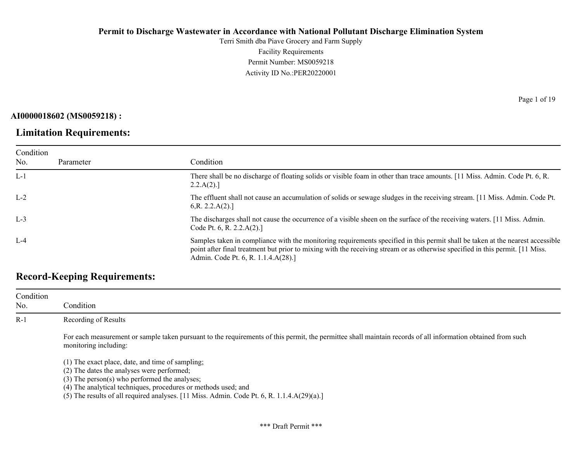Terri Smith dba Piave Grocery and Farm Supply Facility Requirements Permit Number: MS0059218 Activity ID No.:PER20220001

**AI0000018602 (MS0059218) :**

Condition No.

## **Limitation Requirements:**

Parameter Condition L-1 There shall be no discharge of floating solids or visible foam in other than trace amounts. [11 Miss. Admin. Code Pt. 6, R.  $2.2.A(2).$ ] L-2 The effluent shall not cause an accumulation of solids or sewage sludges in the receiving stream. [11 Miss. Admin. Code Pt. 6,R. 2.2.A(2).] L-3 The discharges shall not cause the occurrence of a visible sheen on the surface of the receiving waters. [11 Miss. Admin. Code Pt. 6, R. 2.2.A(2).]

L-4 Samples taken in compliance with the monitoring requirements specified in this permit shall be taken at the nearest accessible point after final treatment but prior to mixing with the receiving stream or as otherwise specified in this permit. [11 Miss. Admin. Code Pt. 6, R. 1.1.4.A(28).]

## **Record-Keeping Requirements:**

| Condition<br>No. | Condition                                                                                                                                                                                                                                                                                                                                                                                               |
|------------------|---------------------------------------------------------------------------------------------------------------------------------------------------------------------------------------------------------------------------------------------------------------------------------------------------------------------------------------------------------------------------------------------------------|
| $R-1$            | Recording of Results                                                                                                                                                                                                                                                                                                                                                                                    |
|                  | For each measurement or sample taken pursuant to the requirements of this permit, the permittee shall maintain records of all information obtained from such<br>monitoring including:                                                                                                                                                                                                                   |
|                  | (1) The exact place, date, and time of sampling;<br>(2) The dates the analyses were performed;<br>$(3)$ The person $(s)$ who performed the analyses;<br>(4) The analytical techniques, procedures or methods used; and<br>$\binom{r}{k}$ . The second $\binom{r}{k-1}$ is equal to choose $\binom{r}{k-1}$ . The $\binom{r}{k-1}$ of $\binom{r}{k-1}$ of $\binom{r}{k-1}$ . The second $\binom{r}{k-1}$ |

 $(5)$  The results of all required analyses. [11 Miss. Admin. Code Pt. 6, R. 1.1.4.A(29)(a).]

Page 1 of 19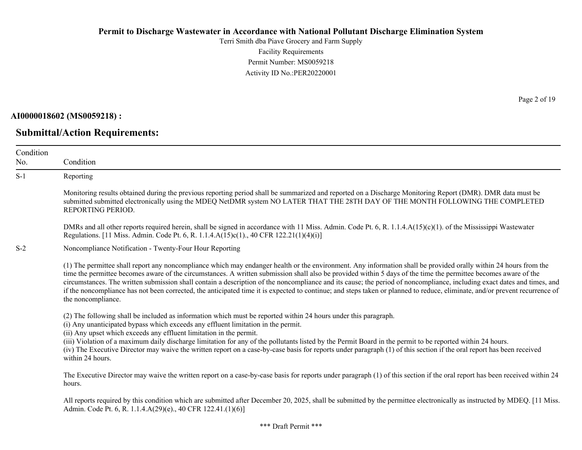Terri Smith dba Piave Grocery and Farm Supply Facility Requirements Permit Number: MS0059218 Activity ID No.:PER20220001

**AI0000018602 (MS0059218) :**

**Submittal/Action Requirements:**

Page 2 of 19

| Condition |                                                                                                                                                                                                                                                                                                                                                                                                                                                                                                                                                                                                                                                                                                                     |
|-----------|---------------------------------------------------------------------------------------------------------------------------------------------------------------------------------------------------------------------------------------------------------------------------------------------------------------------------------------------------------------------------------------------------------------------------------------------------------------------------------------------------------------------------------------------------------------------------------------------------------------------------------------------------------------------------------------------------------------------|
| No.       | Condition                                                                                                                                                                                                                                                                                                                                                                                                                                                                                                                                                                                                                                                                                                           |
| $S-1$     | Reporting                                                                                                                                                                                                                                                                                                                                                                                                                                                                                                                                                                                                                                                                                                           |
|           | Monitoring results obtained during the previous reporting period shall be summarized and reported on a Discharge Monitoring Report (DMR). DMR data must be<br>submitted submitted electronically using the MDEQ NetDMR system NO LATER THAT THE 28TH DAY OF THE MONTH FOLLOWING THE COMPLETED<br>REPORTING PERIOD.                                                                                                                                                                                                                                                                                                                                                                                                  |
|           | DMRs and all other reports required herein, shall be signed in accordance with 11 Miss. Admin. Code Pt. 6, R. 1.1.4. $A(15)(c)(1)$ . of the Mississippi Wastewater<br>Regulations. [11 Miss. Admin. Code Pt. 6, R. 1.1.4.A(15)c(1)., 40 CFR 122.21(1)(4)(i)]                                                                                                                                                                                                                                                                                                                                                                                                                                                        |
| $S-2$     | Noncompliance Notification - Twenty-Four Hour Reporting                                                                                                                                                                                                                                                                                                                                                                                                                                                                                                                                                                                                                                                             |
|           | (1) The permittee shall report any noncompliance which may endanger health or the environment. Any information shall be provided orally within 24 hours from the<br>time the permittee becomes aware of the circumstances. A written submission shall also be provided within 5 days of the time the permittee becomes aware of the<br>circumstances. The written submission shall contain a description of the noncompliance and its cause; the period of noncompliance, including exact dates and times, and<br>if the noncompliance has not been corrected, the anticipated time it is expected to continue; and steps taken or planned to reduce, eliminate, and/or prevent recurrence of<br>the noncompliance. |
|           | (2) The following shall be included as information which must be reported within 24 hours under this paragraph.<br>(i) Any unanticipated bypass which exceeds any effluent limitation in the permit.<br>(ii) Any upset which exceeds any effluent limitation in the permit.<br>(iii) Violation of a maximum daily discharge limitation for any of the pollutants listed by the Permit Board in the permit to be reported within 24 hours.<br>(iv) The Executive Director may waive the written report on a case-by-case basis for reports under paragraph (1) of this section if the oral report has been received<br>within 24 hours.                                                                              |
|           | The Executive Director may waive the written report on a case-by-case basis for reports under paragraph (1) of this section if the oral report has been received within 24<br>hours.                                                                                                                                                                                                                                                                                                                                                                                                                                                                                                                                |
|           | All reports required by this condition which are submitted after December 20, 2025, shall be submitted by the permittee electronically as instructed by MDEQ. [11 Miss.<br>Admin. Code Pt. 6, R. 1.1.4.A(29)(e)., 40 CFR 122.41.(1)(6)]                                                                                                                                                                                                                                                                                                                                                                                                                                                                             |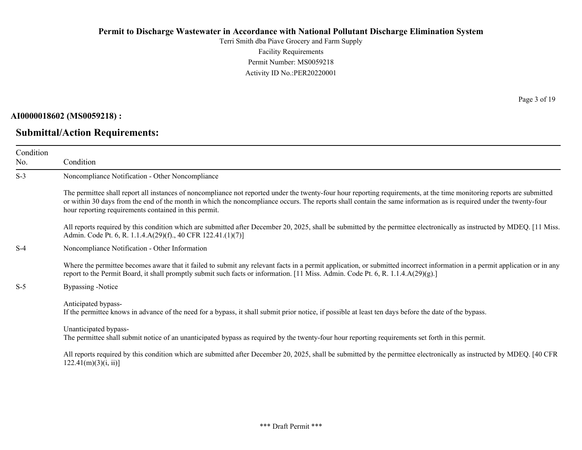Terri Smith dba Piave Grocery and Farm Supply Facility Requirements Permit Number: MS0059218 Activity ID No.:PER20220001

#### **AI0000018602 (MS0059218) :**

## **Submittal/Action Requirements:**

Page 3 of 19

| Condition<br>No. | Condition                                                                                                                                                                                                                                                                                                                                                                                             |
|------------------|-------------------------------------------------------------------------------------------------------------------------------------------------------------------------------------------------------------------------------------------------------------------------------------------------------------------------------------------------------------------------------------------------------|
| $S-3$            | Noncompliance Notification - Other Noncompliance                                                                                                                                                                                                                                                                                                                                                      |
|                  | The permittee shall report all instances of noncompliance not reported under the twenty-four hour reporting requirements, at the time monitoring reports are submitted<br>or within 30 days from the end of the month in which the noncompliance occurs. The reports shall contain the same information as is required under the twenty-four<br>hour reporting requirements contained in this permit. |
|                  | All reports required by this condition which are submitted after December 20, 2025, shall be submitted by the permittee electronically as instructed by MDEQ. [11 Miss.]<br>Admin. Code Pt. 6, R. 1.1.4.A(29)(f)., 40 CFR 122.41.(1)(7)]                                                                                                                                                              |
| $S-4$            | Noncompliance Notification - Other Information                                                                                                                                                                                                                                                                                                                                                        |
|                  | Where the permittee becomes aware that it failed to submit any relevant facts in a permit application, or submitted incorrect information in a permit application or in any<br>report to the Permit Board, it shall promptly submit such facts or information. [11 Miss. Admin. Code Pt. 6, R. 1.1.4.A(29)(g).]                                                                                       |
| $S-5$            | Bypassing -Notice                                                                                                                                                                                                                                                                                                                                                                                     |
|                  | Anticipated bypass-<br>If the permittee knows in advance of the need for a bypass, it shall submit prior notice, if possible at least ten days before the date of the bypass.                                                                                                                                                                                                                         |
|                  | Unanticipated bypass-<br>The permittee shall submit notice of an unanticipated bypass as required by the twenty-four hour reporting requirements set forth in this permit.                                                                                                                                                                                                                            |
|                  | All reports required by this condition which are submitted after December 20, 2025, shall be submitted by the permittee electronically as instructed by MDEQ. [40 CFR<br>$122.41(m)(3)(i, ii)$ ]                                                                                                                                                                                                      |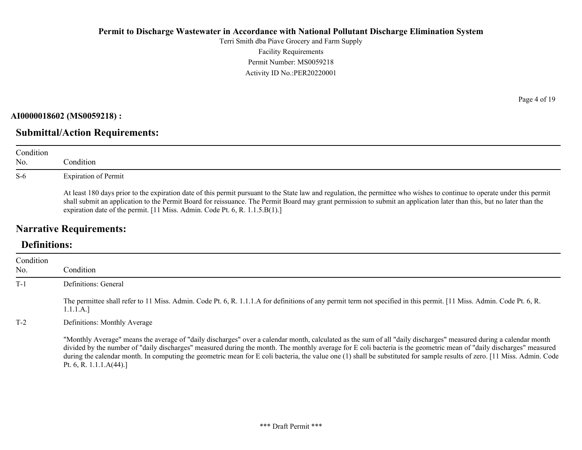Terri Smith dba Piave Grocery and Farm Supply Facility Requirements Permit Number: MS0059218 Activity ID No.:PER20220001

#### **AI0000018602 (MS0059218) :**

## **Submittal/Action Requirements:**

| Condition<br>No. | Condition                                                                                                                                                                                                                                                                                                                                                                                                                         |
|------------------|-----------------------------------------------------------------------------------------------------------------------------------------------------------------------------------------------------------------------------------------------------------------------------------------------------------------------------------------------------------------------------------------------------------------------------------|
| $S-6$            | <b>Expiration of Permit</b>                                                                                                                                                                                                                                                                                                                                                                                                       |
|                  | At least 180 days prior to the expiration date of this permit pursuant to the State law and regulation, the permittee who wishes to continue to operate under this permit<br>shall submit an application to the Permit Board for reissuance. The Permit Board may grant permission to submit an application later than this, but no later than the<br>expiration date of the permit. [11 Miss. Admin. Code Pt. 6, R. 1.1.5.B(1).] |

## **Narrative Requirements:**

# **Definitions:**

| Condition<br>No. | Condition                                                                                                                                                                                                                                                                                                                                                                                                                                                                                                                                           |
|------------------|-----------------------------------------------------------------------------------------------------------------------------------------------------------------------------------------------------------------------------------------------------------------------------------------------------------------------------------------------------------------------------------------------------------------------------------------------------------------------------------------------------------------------------------------------------|
| $T-1$            | Definitions: General                                                                                                                                                                                                                                                                                                                                                                                                                                                                                                                                |
|                  | The permittee shall refer to 11 Miss. Admin. Code Pt. 6, R. 1.1.1.A for definitions of any permit term not specified in this permit. [11 Miss. Admin. Code Pt. 6, R.<br>1.1.1.A.]                                                                                                                                                                                                                                                                                                                                                                   |
| $T-2$            | Definitions: Monthly Average                                                                                                                                                                                                                                                                                                                                                                                                                                                                                                                        |
|                  | "Monthly Average" means the average of "daily discharges" over a calendar month, calculated as the sum of all "daily discharges" measured during a calendar month<br>divided by the number of "daily discharges" measured during the month. The monthly average for E coli bacteria is the geometric mean of "daily discharges" measured<br>during the calendar month. In computing the geometric mean for E coli bacteria, the value one (1) shall be substituted for sample results of zero. [11 Miss. Admin. Code<br>Pt. 6, R. 1.1.1. $A(44)$ .] |

Page 4 of 19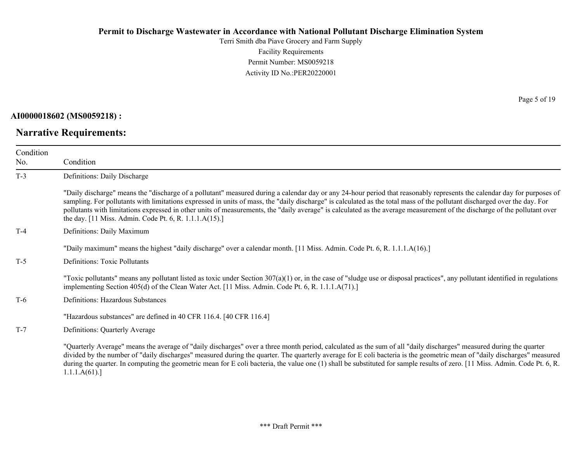Terri Smith dba Piave Grocery and Farm Supply Facility Requirements Permit Number: MS0059218 Activity ID No.:PER20220001

**AI0000018602 (MS0059218) :**

**Narrative Requirements:**

Page 5 of 19

| Condition<br>No. | Condition                                                                                                                                                                                                                                                                                                                                                                                                                                                                                                                                                                                   |
|------------------|---------------------------------------------------------------------------------------------------------------------------------------------------------------------------------------------------------------------------------------------------------------------------------------------------------------------------------------------------------------------------------------------------------------------------------------------------------------------------------------------------------------------------------------------------------------------------------------------|
| $T-3$            | Definitions: Daily Discharge                                                                                                                                                                                                                                                                                                                                                                                                                                                                                                                                                                |
|                  | "Daily discharge" means the "discharge of a pollutant" measured during a calendar day or any 24-hour period that reasonably represents the calendar day for purposes of<br>sampling. For pollutants with limitations expressed in units of mass, the "daily discharge" is calculated as the total mass of the pollutant discharged over the day. For<br>pollutants with limitations expressed in other units of measurements, the "daily average" is calculated as the average measurement of the discharge of the pollutant over<br>the day. [11 Miss. Admin. Code Pt. 6, R. 1.1.1.A(15).] |
| $T-4$            | Definitions: Daily Maximum                                                                                                                                                                                                                                                                                                                                                                                                                                                                                                                                                                  |
|                  | "Daily maximum" means the highest "daily discharge" over a calendar month. [11 Miss. Admin. Code Pt. 6, R. 1.1.1.A(16).]                                                                                                                                                                                                                                                                                                                                                                                                                                                                    |
| $T-5$            | <b>Definitions: Toxic Pollutants</b>                                                                                                                                                                                                                                                                                                                                                                                                                                                                                                                                                        |
|                  | "Toxic pollutants" means any pollutant listed as toxic under Section $307(a)(1)$ or, in the case of "sludge use or disposal practices", any pollutant identified in regulations<br>implementing Section 405(d) of the Clean Water Act. [11 Miss. Admin. Code Pt. 6, R. 1.1.1.A(71).]                                                                                                                                                                                                                                                                                                        |
| $T-6$            | Definitions: Hazardous Substances                                                                                                                                                                                                                                                                                                                                                                                                                                                                                                                                                           |
|                  | "Hazardous substances" are defined in 40 CFR 116.4. [40 CFR 116.4]                                                                                                                                                                                                                                                                                                                                                                                                                                                                                                                          |
| $T-7$            | Definitions: Quarterly Average                                                                                                                                                                                                                                                                                                                                                                                                                                                                                                                                                              |
|                  | "Quarterly Average" means the average of "daily discharges" over a three month period, calculated as the sum of all "daily discharges" measured during the quarter<br>divided by the number of "daily discharges" measured during the quarter. The quarterly average for E coli bacteria is the geometric mean of "daily discharges" measured<br>during the quarter. In computing the geometric mean for E coli bacteria, the value one (1) shall be substituted for sample results of zero. [11 Miss. Admin. Code Pt. 6, R.<br>1.1.1.A(61).                                                |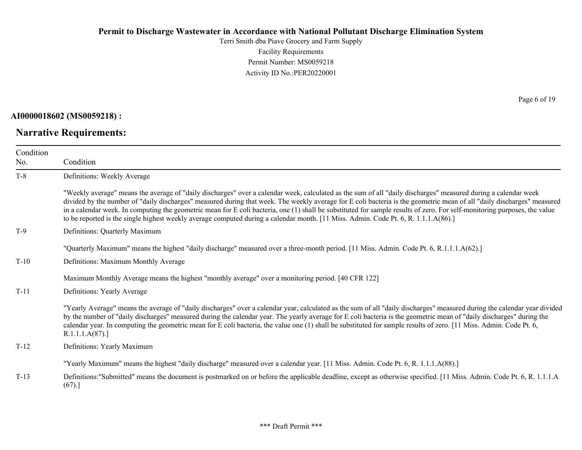Terri Smith dba Piave Grocery and Farm Supply Facility Requirements Permit Number: MS0059218 Activity ID No.:PER20220001

**AI0000018602 (MS0059218) :**

**Narrative Requirements:**

Page 6 of 19

| Condition |                                                                                                                                                                                                                                                                                                                                                                                                                                                                                                                                                                                                                                                              |
|-----------|--------------------------------------------------------------------------------------------------------------------------------------------------------------------------------------------------------------------------------------------------------------------------------------------------------------------------------------------------------------------------------------------------------------------------------------------------------------------------------------------------------------------------------------------------------------------------------------------------------------------------------------------------------------|
| No.       | Condition                                                                                                                                                                                                                                                                                                                                                                                                                                                                                                                                                                                                                                                    |
| $T-8$     | Definitions: Weekly Average                                                                                                                                                                                                                                                                                                                                                                                                                                                                                                                                                                                                                                  |
|           | "Weekly average" means the average of "daily discharges" over a calendar week, calculated as the sum of all "daily discharges" measured during a calendar week<br>divided by the number of "daily discharges" measured during that week. The weekly average for E coli bacteria is the geometric mean of all "daily discharges" measured<br>in a calendar week. In computing the geometric mean for E coli bacteria, one (1) shall be substituted for sample results of zero. For self-monitoring purposes, the value<br>to be reported is the single highest weekly average computed during a calendar month. [11 Miss. Admin. Code Pt. 6, R. 1.1.1.A(86).] |
| $T-9$     | Definitions: Quarterly Maximum                                                                                                                                                                                                                                                                                                                                                                                                                                                                                                                                                                                                                               |
|           | "Quarterly Maximum" means the highest "daily discharge" measured over a three-month period. [11 Miss. Admin. Code Pt. 6, R.1.1.1.A(62).]                                                                                                                                                                                                                                                                                                                                                                                                                                                                                                                     |
| $T-10$    | Definitions: Maximum Monthly Average                                                                                                                                                                                                                                                                                                                                                                                                                                                                                                                                                                                                                         |
|           | Maximum Monthly Average means the highest "monthly average" over a monitoring period. [40 CFR 122]                                                                                                                                                                                                                                                                                                                                                                                                                                                                                                                                                           |
| $T-11$    | Definitions: Yearly Average                                                                                                                                                                                                                                                                                                                                                                                                                                                                                                                                                                                                                                  |
|           | "Yearly Average" means the average of "daily discharges" over a calendar year, calculated as the sum of all "daily discharges" measured during the calendar year divided<br>by the number of "daily discharges" measured during the calendar year. The yearly average for E coli bacteria is the geometric mean of "daily discharges" during the<br>calendar year. In computing the geometric mean for E coli bacteria, the value one (1) shall be substituted for sample results of zero. [11 Miss. Admin. Code Pt. 6,<br>R.1.1.1.A(87).                                                                                                                    |
| $T-12$    | Definitions: Yearly Maximum                                                                                                                                                                                                                                                                                                                                                                                                                                                                                                                                                                                                                                  |
|           | "Yearly Maximum" means the highest "daily discharge" measured over a calendar year. [11 Miss. Admin. Code Pt. 6, R. 1.1.1.A(88).]                                                                                                                                                                                                                                                                                                                                                                                                                                                                                                                            |
| $T-13$    | Definitions:"Submitted" means the document is postmarked on or before the applicable deadline, except as otherwise specified. [11 Miss. Admin. Code Pt. 6, R. 1.1.1.A<br>(67).]                                                                                                                                                                                                                                                                                                                                                                                                                                                                              |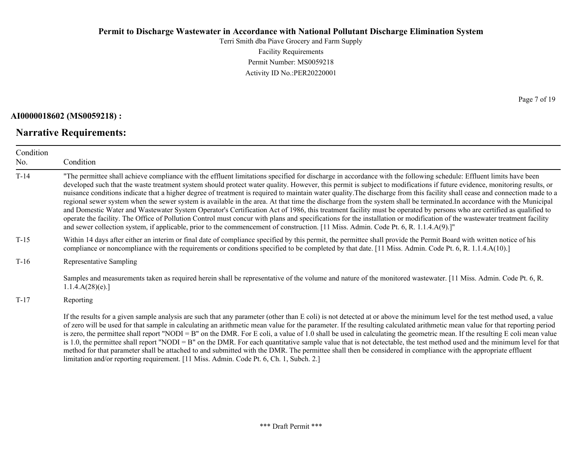Terri Smith dba Piave Grocery and Farm Supply Facility Requirements Permit Number: MS0059218 Activity ID No.:PER20220001

#### **AI0000018602 (MS0059218) :**

## **Narrative Requirements:**

Page 7 of 19

| Condition<br>No. | Condition                                                                                                                                                                                                                                                                                                                                                                                                                                                                                                                                                                                                                                                                                                                                                                                                                                                                                                                                                                                                                                                                                                                                                                                            |
|------------------|------------------------------------------------------------------------------------------------------------------------------------------------------------------------------------------------------------------------------------------------------------------------------------------------------------------------------------------------------------------------------------------------------------------------------------------------------------------------------------------------------------------------------------------------------------------------------------------------------------------------------------------------------------------------------------------------------------------------------------------------------------------------------------------------------------------------------------------------------------------------------------------------------------------------------------------------------------------------------------------------------------------------------------------------------------------------------------------------------------------------------------------------------------------------------------------------------|
| $T-14$           | "The permittee shall achieve compliance with the effluent limitations specified for discharge in accordance with the following schedule: Effluent limits have been<br>developed such that the waste treatment system should protect water quality. However, this permit is subject to modifications if future evidence, monitoring results, or<br>nuisance conditions indicate that a higher degree of treatment is required to maintain water quality. The discharge from this facility shall cease and connection made to a<br>regional sewer system when the sewer system is available in the area. At that time the discharge from the system shall be terminated. In accordance with the Municipal<br>and Domestic Water and Wastewater System Operator's Certification Act of 1986, this treatment facility must be operated by persons who are certified as qualified to<br>operate the facility. The Office of Pollution Control must concur with plans and specifications for the installation or modification of the wastewater treatment facility<br>and sewer collection system, if applicable, prior to the commencement of construction. [11 Miss. Admin. Code Pt. 6, R. 1.1.4.A(9).]" |
| $T-15$           | Within 14 days after either an interim or final date of compliance specified by this permit, the permittee shall provide the Permit Board with written notice of his<br>compliance or noncompliance with the requirements or conditions specified to be completed by that date. [11 Miss. Admin. Code Pt. 6, R. 1.1.4.A(10).]                                                                                                                                                                                                                                                                                                                                                                                                                                                                                                                                                                                                                                                                                                                                                                                                                                                                        |
| $T-16$           | Representative Sampling                                                                                                                                                                                                                                                                                                                                                                                                                                                                                                                                                                                                                                                                                                                                                                                                                                                                                                                                                                                                                                                                                                                                                                              |
|                  | Samples and measurements taken as required herein shall be representative of the volume and nature of the monitored wastewater. [11 Miss. Admin. Code Pt. 6, R.<br>1.1.4.A(28)(e).                                                                                                                                                                                                                                                                                                                                                                                                                                                                                                                                                                                                                                                                                                                                                                                                                                                                                                                                                                                                                   |
| $T-17$           | Reporting                                                                                                                                                                                                                                                                                                                                                                                                                                                                                                                                                                                                                                                                                                                                                                                                                                                                                                                                                                                                                                                                                                                                                                                            |
|                  | If the results for a given sample analysis are such that any parameter (other than E coli) is not detected at or above the minimum level for the test method used, a value<br>of zero will be used for that sample in calculating an arithmetic mean value for the parameter. If the resulting calculated arithmetic mean value for that reporting period<br>is zero, the permittee shall report "NODI = B" on the DMR. For E coli, a value of 1.0 shall be used in calculating the geometric mean. If the resulting E coli mean value<br>is 1.0, the permittee shall report "NODI = $B$ " on the DMR. For each quantitative sample value that is not detectable, the test method used and the minimum level for that                                                                                                                                                                                                                                                                                                                                                                                                                                                                                |

method for that parameter shall be attached to and submitted with the DMR. The permittee shall then be considered in compliance with the appropriate effluent limitation and/or reporting requirement. [11 Miss. Admin. Code Pt. 6, Ch. 1, Subch. 2.]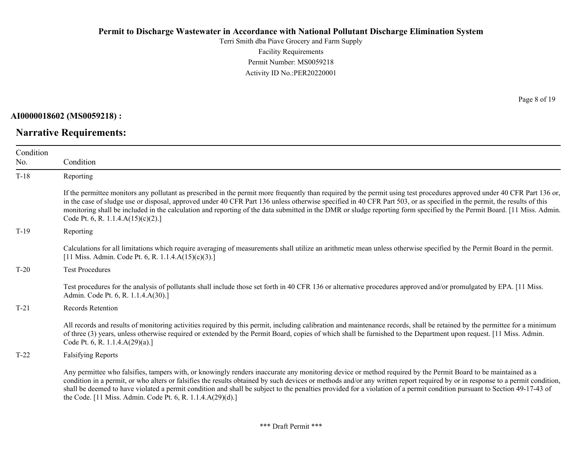Terri Smith dba Piave Grocery and Farm Supply Facility Requirements Permit Number: MS0059218 Activity ID No.:PER20220001

**AI0000018602 (MS0059218) :**

**Narrative Requirements:**

Page 8 of 19

| Condition |                                                                                                                                                                                                                                                                                                                                                                                                                                                                                                                                                                                          |
|-----------|------------------------------------------------------------------------------------------------------------------------------------------------------------------------------------------------------------------------------------------------------------------------------------------------------------------------------------------------------------------------------------------------------------------------------------------------------------------------------------------------------------------------------------------------------------------------------------------|
| No.       | Condition                                                                                                                                                                                                                                                                                                                                                                                                                                                                                                                                                                                |
| $T-18$    | Reporting                                                                                                                                                                                                                                                                                                                                                                                                                                                                                                                                                                                |
|           | If the permittee monitors any pollutant as prescribed in the permit more frequently than required by the permit using test procedures approved under 40 CFR Part 136 or,<br>in the case of sludge use or disposal, approved under 40 CFR Part 136 unless otherwise specified in 40 CFR Part 503, or as specified in the permit, the results of this<br>monitoring shall be included in the calculation and reporting of the data submitted in the DMR or sludge reporting form specified by the Permit Board. [11 Miss. Admin.<br>Code Pt. 6, R. 1.1.4. $A(15)(c)(2)$ .]                 |
| $T-19$    | Reporting                                                                                                                                                                                                                                                                                                                                                                                                                                                                                                                                                                                |
|           | Calculations for all limitations which require averaging of measurements shall utilize an arithmetic mean unless otherwise specified by the Permit Board in the permit.<br>[11 Miss. Admin. Code Pt. 6, R. 1.1.4.A(15)(c)(3).]                                                                                                                                                                                                                                                                                                                                                           |
| $T-20$    | <b>Test Procedures</b>                                                                                                                                                                                                                                                                                                                                                                                                                                                                                                                                                                   |
|           | Test procedures for the analysis of pollutants shall include those set forth in 40 CFR 136 or alternative procedures approved and/or promulgated by EPA. [11 Miss.]<br>Admin. Code Pt. 6, R. 1.1.4.A(30).]                                                                                                                                                                                                                                                                                                                                                                               |
| $T-21$    | <b>Records Retention</b>                                                                                                                                                                                                                                                                                                                                                                                                                                                                                                                                                                 |
|           | All records and results of monitoring activities required by this permit, including calibration and maintenance records, shall be retained by the permittee for a minimum<br>of three (3) years, unless otherwise required or extended by the Permit Board, copies of which shall be furnished to the Department upon request. [11 Miss. Admin.]<br>Code Pt. 6, R. 1.1.4. $A(29)(a)$ .]                                                                                                                                                                                                  |
| $T-22$    | <b>Falsifying Reports</b>                                                                                                                                                                                                                                                                                                                                                                                                                                                                                                                                                                |
|           | Any permittee who falsifies, tampers with, or knowingly renders inaccurate any monitoring device or method required by the Permit Board to be maintained as a<br>condition in a permit, or who alters or falsifies the results obtained by such devices or methods and/or any written report required by or in response to a permit condition,<br>shall be deemed to have violated a permit condition and shall be subject to the penalties provided for a violation of a permit condition pursuant to Section 49-17-43 of<br>the Code. [11 Miss. Admin. Code Pt. 6, R. 1.1.4.A(29)(d).] |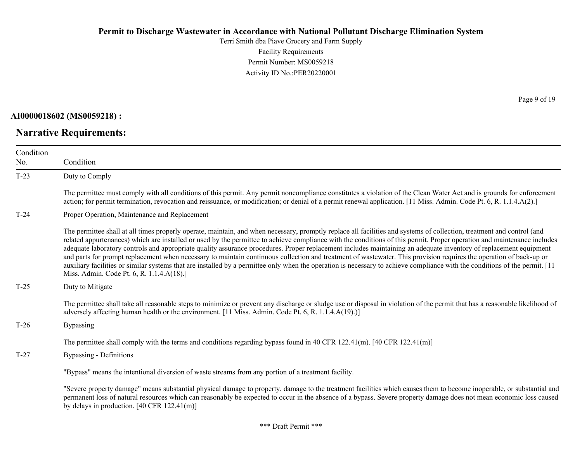Terri Smith dba Piave Grocery and Farm Supply Facility Requirements Permit Number: MS0059218 Activity ID No.:PER20220001

**AI0000018602 (MS0059218) :**

**Narrative Requirements:**

Page 9 of 19

| Condition<br>No. | Condition                                                                                                                                                                                                                                                                                                                                                                                                                                                                                                                                                                                                                                                                                                                                                                                                                                                                                                                 |
|------------------|---------------------------------------------------------------------------------------------------------------------------------------------------------------------------------------------------------------------------------------------------------------------------------------------------------------------------------------------------------------------------------------------------------------------------------------------------------------------------------------------------------------------------------------------------------------------------------------------------------------------------------------------------------------------------------------------------------------------------------------------------------------------------------------------------------------------------------------------------------------------------------------------------------------------------|
| $T-23$           | Duty to Comply                                                                                                                                                                                                                                                                                                                                                                                                                                                                                                                                                                                                                                                                                                                                                                                                                                                                                                            |
|                  | The permittee must comply with all conditions of this permit. Any permit noncompliance constitutes a violation of the Clean Water Act and is grounds for enforcement<br>action; for permit termination, revocation and reissuance, or modification; or denial of a permit renewal application. [11 Miss. Admin. Code Pt. 6, R. 1.1.4.A(2).]                                                                                                                                                                                                                                                                                                                                                                                                                                                                                                                                                                               |
| $T-24$           | Proper Operation, Maintenance and Replacement                                                                                                                                                                                                                                                                                                                                                                                                                                                                                                                                                                                                                                                                                                                                                                                                                                                                             |
|                  | The permittee shall at all times properly operate, maintain, and when necessary, promptly replace all facilities and systems of collection, treatment and control (and<br>related appurtenances) which are installed or used by the permittee to achieve compliance with the conditions of this permit. Proper operation and maintenance includes<br>adequate laboratory controls and appropriate quality assurance procedures. Proper replacement includes maintaining an adequate inventory of replacement equipment<br>and parts for prompt replacement when necessary to maintain continuous collection and treatment of wastewater. This provision requires the operation of back-up or<br>auxiliary facilities or similar systems that are installed by a permittee only when the operation is necessary to achieve compliance with the conditions of the permit. [11]<br>Miss. Admin. Code Pt. 6, R. 1.1.4.A(18).] |
| $T-25$           | Duty to Mitigate                                                                                                                                                                                                                                                                                                                                                                                                                                                                                                                                                                                                                                                                                                                                                                                                                                                                                                          |
|                  | The permittee shall take all reasonable steps to minimize or prevent any discharge or sludge use or disposal in violation of the permit that has a reasonable likelihood of<br>adversely affecting human health or the environment. [11 Miss. Admin. Code Pt. 6, R. 1.1.4.A(19).)]                                                                                                                                                                                                                                                                                                                                                                                                                                                                                                                                                                                                                                        |
| $T-26$           | Bypassing                                                                                                                                                                                                                                                                                                                                                                                                                                                                                                                                                                                                                                                                                                                                                                                                                                                                                                                 |
|                  | The permittee shall comply with the terms and conditions regarding bypass found in 40 CFR 122.41(m). $[40 \text{ CFR } 122.41 \text{ (m)}]$                                                                                                                                                                                                                                                                                                                                                                                                                                                                                                                                                                                                                                                                                                                                                                               |
| $T-27$           | Bypassing - Definitions                                                                                                                                                                                                                                                                                                                                                                                                                                                                                                                                                                                                                                                                                                                                                                                                                                                                                                   |
|                  | "Bypass" means the intentional diversion of waste streams from any portion of a treatment facility.                                                                                                                                                                                                                                                                                                                                                                                                                                                                                                                                                                                                                                                                                                                                                                                                                       |
|                  | "Severe property damage" means substantial physical damage to property, damage to the treatment facilities which causes them to become inoperable, or substantial and<br>permanent loss of natural resources which can reasonably be expected to occur in the absence of a bypass. Severe property damage does not mean economic loss caused<br>by delays in production. $[40 \text{ CFR } 122.41 \text{ (m)}]$                                                                                                                                                                                                                                                                                                                                                                                                                                                                                                           |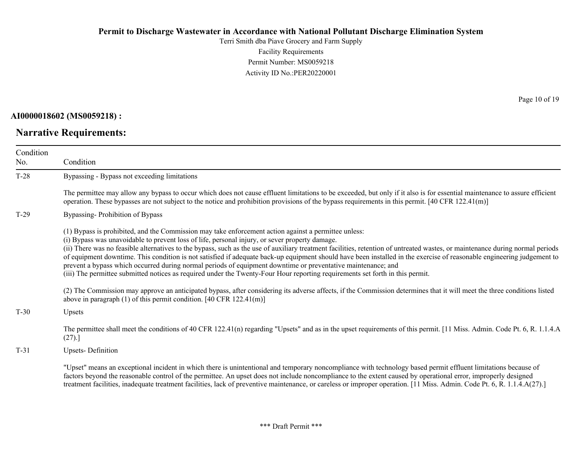Terri Smith dba Piave Grocery and Farm Supply Facility Requirements Permit Number: MS0059218 Activity ID No.:PER20220001

**AI0000018602 (MS0059218) :**

**Narrative Requirements:**

Page 10 of 19

| Condition<br>No. | Condition                                                                                                                                                                                                                                                                                                                                                                                                                                                                                                                                                                                                                                                                                                                                                                                                          |
|------------------|--------------------------------------------------------------------------------------------------------------------------------------------------------------------------------------------------------------------------------------------------------------------------------------------------------------------------------------------------------------------------------------------------------------------------------------------------------------------------------------------------------------------------------------------------------------------------------------------------------------------------------------------------------------------------------------------------------------------------------------------------------------------------------------------------------------------|
| $T-28$           | Bypassing - Bypass not exceeding limitations                                                                                                                                                                                                                                                                                                                                                                                                                                                                                                                                                                                                                                                                                                                                                                       |
|                  | The permittee may allow any bypass to occur which does not cause effluent limitations to be exceeded, but only if it also is for essential maintenance to assure efficient<br>operation. These bypasses are not subject to the notice and prohibition provisions of the bypass requirements in this permit. $[40 \text{ CFR } 122.41 \text{ (m)}]$                                                                                                                                                                                                                                                                                                                                                                                                                                                                 |
| $T-29$           | Bypassing-Prohibition of Bypass                                                                                                                                                                                                                                                                                                                                                                                                                                                                                                                                                                                                                                                                                                                                                                                    |
|                  | (1) Bypass is prohibited, and the Commission may take enforcement action against a permittee unless:<br>(i) Bypass was unavoidable to prevent loss of life, personal injury, or sever property damage.<br>(ii) There was no feasible alternatives to the bypass, such as the use of auxiliary treatment facilities, retention of untreated wastes, or maintenance during normal periods<br>of equipment downtime. This condition is not satisfied if adequate back-up equipment should have been installed in the exercise of reasonable engineering judgement to<br>prevent a bypass which occurred during normal periods of equipment downtime or preventative maintenance; and<br>(iii) The permittee submitted notices as required under the Twenty-Four Hour reporting requirements set forth in this permit. |
|                  | (2) The Commission may approve an anticipated bypass, after considering its adverse affects, if the Commission determines that it will meet the three conditions listed<br>above in paragraph (1) of this permit condition. [40 CFR 122.41(m)]                                                                                                                                                                                                                                                                                                                                                                                                                                                                                                                                                                     |
| $T-30$           | Upsets                                                                                                                                                                                                                                                                                                                                                                                                                                                                                                                                                                                                                                                                                                                                                                                                             |
|                  | The permittee shall meet the conditions of 40 CFR 122.41(n) regarding "Upsets" and as in the upset requirements of this permit. [11 Miss. Admin. Code Pt. 6, R. 1.1.4.A<br>(27).                                                                                                                                                                                                                                                                                                                                                                                                                                                                                                                                                                                                                                   |
| $T-31$           | Upsets-Definition                                                                                                                                                                                                                                                                                                                                                                                                                                                                                                                                                                                                                                                                                                                                                                                                  |
|                  | "Upset" means an exceptional incident in which there is unintentional and temporary noncompliance with technology based permit effluent limitations because of<br>factors beyond the reasonable control of the permittee. An upset does not include noncompliance to the extent caused by operational error, improperly designed<br>treatment facilities, inadequate treatment facilities, lack of preventive maintenance, or careless or improper operation. [11 Miss. Admin. Code Pt. 6, R. 1.1.4.A(27).]                                                                                                                                                                                                                                                                                                        |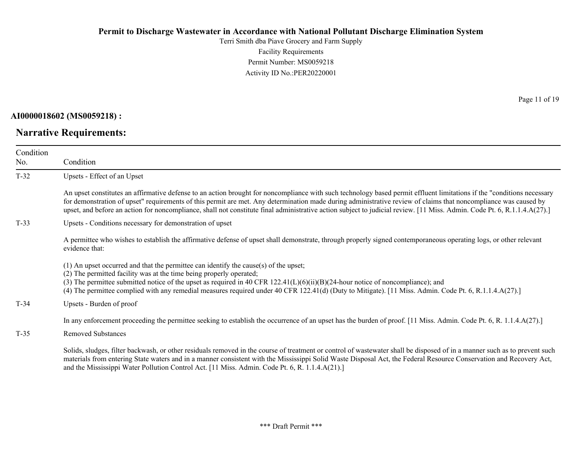Terri Smith dba Piave Grocery and Farm Supply Facility Requirements Permit Number: MS0059218 Activity ID No.:PER20220001

**AI0000018602 (MS0059218) :**

**Narrative Requirements:**

Page 11 of 19

| Condition<br>No. | Condition                                                                                                                                                                                                                                                                                                                                                                                                                                                                                                             |
|------------------|-----------------------------------------------------------------------------------------------------------------------------------------------------------------------------------------------------------------------------------------------------------------------------------------------------------------------------------------------------------------------------------------------------------------------------------------------------------------------------------------------------------------------|
| $T-32$           | Upsets - Effect of an Upset                                                                                                                                                                                                                                                                                                                                                                                                                                                                                           |
|                  | An upset constitutes an affirmative defense to an action brought for noncompliance with such technology based permit effluent limitations if the "conditions necessary<br>for demonstration of upset" requirements of this permit are met. Any determination made during administrative review of claims that noncompliance was caused by<br>upset, and before an action for noncompliance, shall not constitute final administrative action subject to judicial review. [11 Miss. Admin. Code Pt. 6, R.1.1.4.A(27).] |
| $T-33$           | Upsets - Conditions necessary for demonstration of upset                                                                                                                                                                                                                                                                                                                                                                                                                                                              |
|                  | A permittee who wishes to establish the affirmative defense of upset shall demonstrate, through properly signed contemporaneous operating logs, or other relevant<br>evidence that:                                                                                                                                                                                                                                                                                                                                   |
|                  | (1) An upset occurred and that the permittee can identify the cause(s) of the upset;<br>(2) The permitted facility was at the time being properly operated;<br>(3) The permittee submitted notice of the upset as required in 40 CFR 122.41(L)(6)(ii)(B)(24-hour notice of noncompliance); and<br>(4) The permittee complied with any remedial measures required under 40 CFR 122.41(d) (Duty to Mitigate). [11 Miss. Admin. Code Pt. 6, R.1.1.4.A(27).]                                                              |
| $T-34$           | Upsets - Burden of proof                                                                                                                                                                                                                                                                                                                                                                                                                                                                                              |
|                  | In any enforcement proceeding the permittee seeking to establish the occurrence of an upset has the burden of proof. [11 Miss. Admin. Code Pt. 6, R. 1.1.4.A(27).]                                                                                                                                                                                                                                                                                                                                                    |
| $T-35$           | <b>Removed Substances</b>                                                                                                                                                                                                                                                                                                                                                                                                                                                                                             |
|                  | Solids, sludges, filter backwash, or other residuals removed in the course of treatment or control of wastewater shall be disposed of in a manner such as to prevent such<br>materials from entering State waters and in a manner consistent with the Mississippi Solid Waste Disposal Act, the Federal Resource Conservation and Recovery Act,<br>and the Mississippi Water Pollution Control Act. [11 Miss. Admin. Code Pt. 6, R. 1.1.4.A(21).]                                                                     |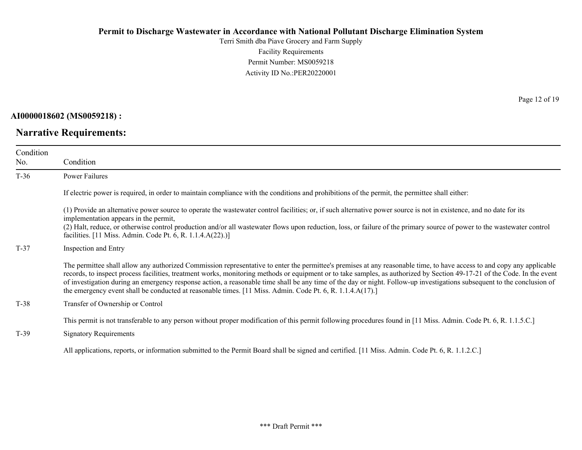Terri Smith dba Piave Grocery and Farm Supply Facility Requirements Permit Number: MS0059218 Activity ID No.:PER20220001

**AI0000018602 (MS0059218) :**

**Narrative Requirements:**

Page 12 of 19

| Condition<br>No. | Condition                                                                                                                                                                                                                                                                                                                                                                                                                                                                                                                                                                                                                                  |
|------------------|--------------------------------------------------------------------------------------------------------------------------------------------------------------------------------------------------------------------------------------------------------------------------------------------------------------------------------------------------------------------------------------------------------------------------------------------------------------------------------------------------------------------------------------------------------------------------------------------------------------------------------------------|
| $T-36$           | Power Failures                                                                                                                                                                                                                                                                                                                                                                                                                                                                                                                                                                                                                             |
|                  | If electric power is required, in order to maintain compliance with the conditions and prohibitions of the permit, the permittee shall either:                                                                                                                                                                                                                                                                                                                                                                                                                                                                                             |
|                  | (1) Provide an alternative power source to operate the wastewater control facilities; or, if such alternative power source is not in existence, and no date for its<br>implementation appears in the permit,<br>(2) Halt, reduce, or otherwise control production and/or all wastewater flows upon reduction, loss, or failure of the primary source of power to the wastewater control<br>facilities. [11 Miss. Admin. Code Pt. 6, R. 1.1.4.A(22).)]                                                                                                                                                                                      |
| $T-37$           | Inspection and Entry                                                                                                                                                                                                                                                                                                                                                                                                                                                                                                                                                                                                                       |
|                  | The permittee shall allow any authorized Commission representative to enter the permittee's premises at any reasonable time, to have access to and copy any applicable<br>records, to inspect process facilities, treatment works, monitoring methods or equipment or to take samples, as authorized by Section 49-17-21 of the Code. In the event<br>of investigation during an emergency response action, a reasonable time shall be any time of the day or night. Follow-up investigations subsequent to the conclusion of<br>the emergency event shall be conducted at reasonable times. [11 Miss. Admin. Code Pt. 6, R. 1.1.4.A(17).] |
| $T-38$           | Transfer of Ownership or Control                                                                                                                                                                                                                                                                                                                                                                                                                                                                                                                                                                                                           |
| $T-39$           | This permit is not transferable to any person without proper modification of this permit following procedures found in [11 Miss. Admin. Code Pt. 6, R. 1.1.5.C.]<br><b>Signatory Requirements</b>                                                                                                                                                                                                                                                                                                                                                                                                                                          |
|                  | All applications, reports, or information submitted to the Permit Board shall be signed and certified. [11 Miss. Admin. Code Pt. 6, R. 1.1.2.C.]                                                                                                                                                                                                                                                                                                                                                                                                                                                                                           |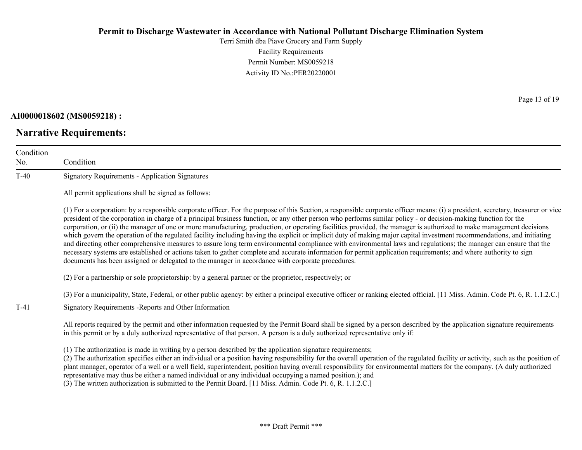Terri Smith dba Piave Grocery and Farm Supply Facility Requirements Permit Number: MS0059218 Activity ID No.:PER20220001

#### **AI0000018602 (MS0059218) :**

# **Narrative Requirements:**

Page 13 of 19

| Condition<br>No. | Condition                                                                                                                                                                                                                                                                                                                                                                                                                                                                                                                                                                                                                                                                                                                                                                                                                                                                                                                                                                                                                                                                                                                                      |
|------------------|------------------------------------------------------------------------------------------------------------------------------------------------------------------------------------------------------------------------------------------------------------------------------------------------------------------------------------------------------------------------------------------------------------------------------------------------------------------------------------------------------------------------------------------------------------------------------------------------------------------------------------------------------------------------------------------------------------------------------------------------------------------------------------------------------------------------------------------------------------------------------------------------------------------------------------------------------------------------------------------------------------------------------------------------------------------------------------------------------------------------------------------------|
| $T-40$           | <b>Signatory Requirements - Application Signatures</b>                                                                                                                                                                                                                                                                                                                                                                                                                                                                                                                                                                                                                                                                                                                                                                                                                                                                                                                                                                                                                                                                                         |
|                  | All permit applications shall be signed as follows:                                                                                                                                                                                                                                                                                                                                                                                                                                                                                                                                                                                                                                                                                                                                                                                                                                                                                                                                                                                                                                                                                            |
|                  | (1) For a corporation: by a responsible corporate officer. For the purpose of this Section, a responsible corporate officer means: (i) a president, secretary, treasurer or vice<br>president of the corporation in charge of a principal business function, or any other person who performs similar policy - or decision-making function for the<br>corporation, or (ii) the manager of one or more manufacturing, production, or operating facilities provided, the manager is authorized to make management decisions<br>which govern the operation of the regulated facility including having the explicit or implicit duty of making major capital investment recommendations, and initiating<br>and directing other comprehensive measures to assure long term environmental compliance with environmental laws and regulations; the manager can ensure that the<br>necessary systems are established or actions taken to gather complete and accurate information for permit application requirements; and where authority to sign<br>documents has been assigned or delegated to the manager in accordance with corporate procedures. |
|                  | (2) For a partnership or sole proprietorship: by a general partner or the proprietor, respectively; or                                                                                                                                                                                                                                                                                                                                                                                                                                                                                                                                                                                                                                                                                                                                                                                                                                                                                                                                                                                                                                         |
|                  | (3) For a municipality, State, Federal, or other public agency: by either a principal executive officer or ranking elected official. [11 Miss. Admin. Code Pt. 6, R. 1.1.2.C.]                                                                                                                                                                                                                                                                                                                                                                                                                                                                                                                                                                                                                                                                                                                                                                                                                                                                                                                                                                 |
| $T-41$           | Signatory Requirements - Reports and Other Information                                                                                                                                                                                                                                                                                                                                                                                                                                                                                                                                                                                                                                                                                                                                                                                                                                                                                                                                                                                                                                                                                         |
|                  | All reports required by the permit and other information requested by the Permit Board shall be signed by a person described by the application signature requirements<br>in this permit or by a duly authorized representative of that person. A person is a duly authorized representative only if:                                                                                                                                                                                                                                                                                                                                                                                                                                                                                                                                                                                                                                                                                                                                                                                                                                          |
|                  | (1) The authorization is made in writing by a person described by the application signature requirements;<br>(2) The authorization specifies either an individual or a position having responsibility for the overall operation of the regulated facility or activity, such as the position of<br>plant manager, operator of a well or a well field, superintendent, position having overall responsibility for environmental matters for the company. (A duly authorized<br>representative may thus be either a named individual or any individual occupying a named position.); and                                                                                                                                                                                                                                                                                                                                                                                                                                                                                                                                                          |

(3) The written authorization is submitted to the Permit Board. [11 Miss. Admin. Code Pt. 6, R. 1.1.2.C.]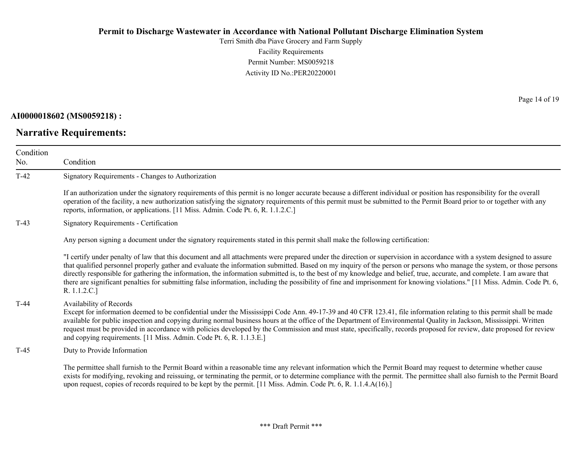Terri Smith dba Piave Grocery and Farm Supply Facility Requirements Permit Number: MS0059218 Activity ID No.:PER20220001

#### **AI0000018602 (MS0059218) :**

# **Narrative Requirements:**

Page 14 of 19

| Condition<br>No. | Condition                                                                                                                                                                                                                                                                                                                                                                                                                                                                                                                                                                                                                                                                                                                |
|------------------|--------------------------------------------------------------------------------------------------------------------------------------------------------------------------------------------------------------------------------------------------------------------------------------------------------------------------------------------------------------------------------------------------------------------------------------------------------------------------------------------------------------------------------------------------------------------------------------------------------------------------------------------------------------------------------------------------------------------------|
| $T-42$           | Signatory Requirements - Changes to Authorization                                                                                                                                                                                                                                                                                                                                                                                                                                                                                                                                                                                                                                                                        |
|                  | If an authorization under the signatory requirements of this permit is no longer accurate because a different individual or position has responsibility for the overall<br>operation of the facility, a new authorization satisfying the signatory requirements of this permit must be submitted to the Permit Board prior to or together with any<br>reports, information, or applications. [11 Miss. Admin. Code Pt. 6, R. 1.1.2.C.]                                                                                                                                                                                                                                                                                   |
| $T-43$           | Signatory Requirements - Certification                                                                                                                                                                                                                                                                                                                                                                                                                                                                                                                                                                                                                                                                                   |
|                  | Any person signing a document under the signatory requirements stated in this permit shall make the following certification:                                                                                                                                                                                                                                                                                                                                                                                                                                                                                                                                                                                             |
|                  | "I certify under penalty of law that this document and all attachments were prepared under the direction or supervision in accordance with a system designed to assure<br>that qualified personnel properly gather and evaluate the information submitted. Based on my inquiry of the person or persons who manage the system, or those persons<br>directly responsible for gathering the information, the information submitted is, to the best of my knowledge and belief, true, accurate, and complete. I am aware that<br>there are significant penalties for submitting false information, including the possibility of fine and imprisonment for knowing violations." [11 Miss. Admin. Code Pt. 6,<br>R. 1.1.2.C.] |
| $T-44$           | Availability of Records<br>Except for information deemed to be confidential under the Mississippi Code Ann. 49-17-39 and 40 CFR 123.41, file information relating to this permit shall be made<br>available for public inspection and copying during normal business hours at the office of the Department of Environmental Quality in Jackson, Mississippi. Written<br>request must be provided in accordance with policies developed by the Commission and must state, specifically, records proposed for review, date proposed for review<br>and copying requirements. [11 Miss. Admin. Code Pt. 6, R. 1.1.3.E.]                                                                                                      |
| T-45             | Duty to Provide Information                                                                                                                                                                                                                                                                                                                                                                                                                                                                                                                                                                                                                                                                                              |
|                  | The permittee shall furnish to the Permit Board within a reasonable time any relevant information which the Permit Board may request to determine whether cause<br>exists for modifying, revoking and reissuing, or terminating the permit, or to determine compliance with the permit. The permittee shall also furnish to the Permit Board<br>upon request, copies of records required to be kept by the permit. [11 Miss. Admin. Code Pt. 6, R. 1.1.4.A(16).]                                                                                                                                                                                                                                                         |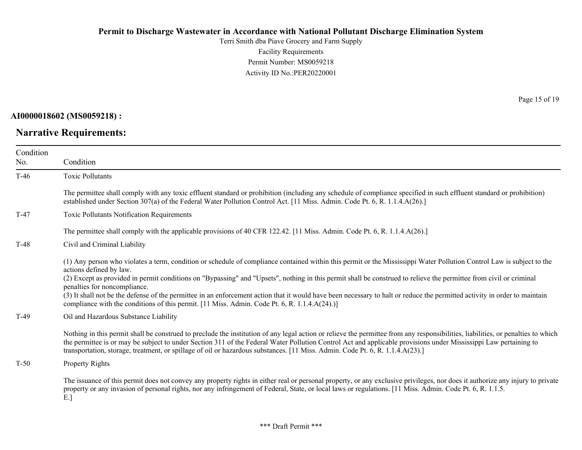Terri Smith dba Piave Grocery and Farm Supply Facility Requirements Permit Number: MS0059218 Activity ID No.:PER20220001

**AI0000018602 (MS0059218) :**

**Narrative Requirements:**

Page 15 of 19

| Condition |                                                                                                                                                                                                                                                                                                                                                                                                                                                                                                                                                                                                                                                                                      |
|-----------|--------------------------------------------------------------------------------------------------------------------------------------------------------------------------------------------------------------------------------------------------------------------------------------------------------------------------------------------------------------------------------------------------------------------------------------------------------------------------------------------------------------------------------------------------------------------------------------------------------------------------------------------------------------------------------------|
| No.       | Condition                                                                                                                                                                                                                                                                                                                                                                                                                                                                                                                                                                                                                                                                            |
| $T-46$    | <b>Toxic Pollutants</b>                                                                                                                                                                                                                                                                                                                                                                                                                                                                                                                                                                                                                                                              |
|           | The permittee shall comply with any toxic effluent standard or prohibition (including any schedule of compliance specified in such effluent standard or prohibition)<br>established under Section 307(a) of the Federal Water Pollution Control Act. [11 Miss. Admin. Code Pt. 6, R. 1.1.4.A(26).]                                                                                                                                                                                                                                                                                                                                                                                   |
| $T-47$    | Toxic Pollutants Notification Requirements                                                                                                                                                                                                                                                                                                                                                                                                                                                                                                                                                                                                                                           |
|           | The permittee shall comply with the applicable provisions of 40 CFR 122.42. [11 Miss. Admin. Code Pt. 6, R. 1.1.4.A(26).]                                                                                                                                                                                                                                                                                                                                                                                                                                                                                                                                                            |
| $T-48$    | Civil and Criminal Liability                                                                                                                                                                                                                                                                                                                                                                                                                                                                                                                                                                                                                                                         |
|           | (1) Any person who violates a term, condition or schedule of compliance contained within this permit or the Mississippi Water Pollution Control Law is subject to the<br>actions defined by law.<br>(2) Except as provided in permit conditions on "Bypassing" and "Upsets", nothing in this permit shall be construed to relieve the permittee from civil or criminal<br>penalties for noncompliance.<br>(3) It shall not be the defense of the permittee in an enforcement action that it would have been necessary to halt or reduce the permitted activity in order to maintain<br>compliance with the conditions of this permit. [11 Miss. Admin. Code Pt. 6, R. 1.1.4.A(24).)] |
| $T-49$    | Oil and Hazardous Substance Liability                                                                                                                                                                                                                                                                                                                                                                                                                                                                                                                                                                                                                                                |
|           | Nothing in this permit shall be construed to preclude the institution of any legal action or relieve the permittee from any responsibilities, liabilities, or penalties to which<br>the permittee is or may be subject to under Section 311 of the Federal Water Pollution Control Act and applicable provisions under Mississippi Law pertaining to<br>transportation, storage, treatment, or spillage of oil or hazardous substances. [11 Miss. Admin. Code Pt. 6, R. 1.1.4.A(23).]                                                                                                                                                                                                |
| $T-50$    | Property Rights                                                                                                                                                                                                                                                                                                                                                                                                                                                                                                                                                                                                                                                                      |
|           | The issuance of this permit does not convey any property rights in either real or personal property, or any exclusive privileges, nor does it authorize any injury to private<br>property or any invasion of personal rights, nor any infringement of Federal, State, or local laws or regulations. [11 Miss. Admin. Code Pt. 6, R. 1.1.5.]<br>E.]                                                                                                                                                                                                                                                                                                                                   |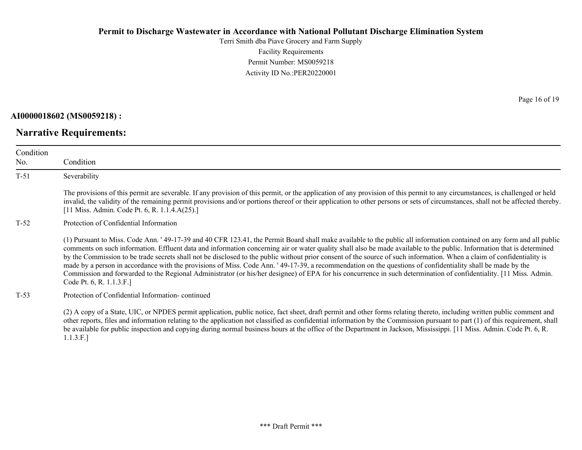Terri Smith dba Piave Grocery and Farm Supply Facility Requirements Permit Number: MS0059218 Activity ID No.:PER20220001

**AI0000018602 (MS0059218) :**

**Narrative Requirements:**

Page 16 of 19

| Condition<br>No. | Condition                                                                                                                                                                                                                                                                                                                                                                                                                                                                                                                                                                                                                                                                                                                                                                                                                                                                                 |
|------------------|-------------------------------------------------------------------------------------------------------------------------------------------------------------------------------------------------------------------------------------------------------------------------------------------------------------------------------------------------------------------------------------------------------------------------------------------------------------------------------------------------------------------------------------------------------------------------------------------------------------------------------------------------------------------------------------------------------------------------------------------------------------------------------------------------------------------------------------------------------------------------------------------|
| $T-51$           | Severability                                                                                                                                                                                                                                                                                                                                                                                                                                                                                                                                                                                                                                                                                                                                                                                                                                                                              |
|                  | The provisions of this permit are severable. If any provision of this permit, or the application of any provision of this permit to any circumstances, is challenged or held<br>invalid, the validity of the remaining permit provisions and/or portions thereof or their application to other persons or sets of circumstances, shall not be affected thereby.<br>[11 Miss. Admin. Code Pt. 6, R. 1.1.4.A(25).]                                                                                                                                                                                                                                                                                                                                                                                                                                                                          |
| $T-52$           | Protection of Confidential Information                                                                                                                                                                                                                                                                                                                                                                                                                                                                                                                                                                                                                                                                                                                                                                                                                                                    |
|                  | (1) Pursuant to Miss. Code Ann. '49-17-39 and 40 CFR 123.41, the Permit Board shall make available to the public all information contained on any form and all public<br>comments on such information. Effluent data and information concerning air or water quality shall also be made available to the public. Information that is determined<br>by the Commission to be trade secrets shall not be disclosed to the public without prior consent of the source of such information. When a claim of confidentiality is<br>made by a person in accordance with the provisions of Miss. Code Ann. '49-17-39, a recommendation on the questions of confidentiality shall be made by the<br>Commission and forwarded to the Regional Administrator (or his/her designee) of EPA for his concurrence in such determination of confidentiality. [11 Miss. Admin.<br>Code Pt. 6, R. 1.1.3.F.] |
| $T-53$           | Protection of Confidential Information-continued                                                                                                                                                                                                                                                                                                                                                                                                                                                                                                                                                                                                                                                                                                                                                                                                                                          |
|                  | (2) A copy of a State, UIC, or NPDES permit application, public notice, fact sheet, draft permit and other forms relating thereto, including written public comment and<br>other reports, files and information relating to the application not classified as confidential information by the Commission pursuant to part (1) of this requirement, shall<br>be available for public inspection and copying during normal business hours at the office of the Department in Jackson, Mississippi. [11 Miss. Admin. Code Pt. 6, R.                                                                                                                                                                                                                                                                                                                                                          |

1.1.3.F.]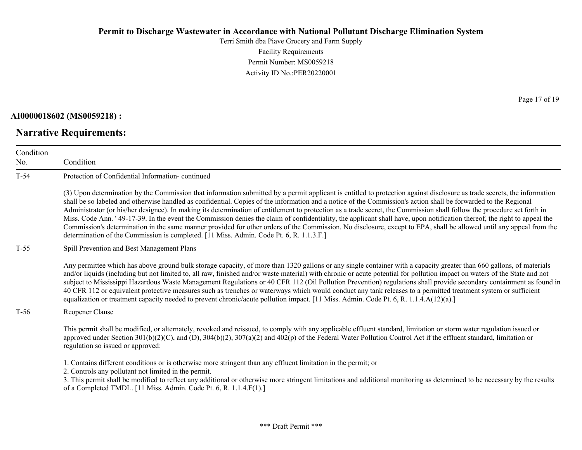Terri Smith dba Piave Grocery and Farm Supply Facility Requirements Permit Number: MS0059218 Activity ID No.:PER20220001

**AI0000018602 (MS0059218) :**

**Narrative Requirements:**

Page 17 of 19

| Condition<br>No. | Condition                                                                                                                                                                                                                                                                                                                                                                                                                                                                                                                                                                                                                                                                                                                                                                                                                                                                                                                                                            |
|------------------|----------------------------------------------------------------------------------------------------------------------------------------------------------------------------------------------------------------------------------------------------------------------------------------------------------------------------------------------------------------------------------------------------------------------------------------------------------------------------------------------------------------------------------------------------------------------------------------------------------------------------------------------------------------------------------------------------------------------------------------------------------------------------------------------------------------------------------------------------------------------------------------------------------------------------------------------------------------------|
| $T-54$           | Protection of Confidential Information-continued                                                                                                                                                                                                                                                                                                                                                                                                                                                                                                                                                                                                                                                                                                                                                                                                                                                                                                                     |
|                  | (3) Upon determination by the Commission that information submitted by a permit applicant is entitled to protection against disclosure as trade secrets, the information<br>shall be so labeled and otherwise handled as confidential. Copies of the information and a notice of the Commission's action shall be forwarded to the Regional<br>Administrator (or his/her designee). In making its determination of entitlement to protection as a trade secret, the Commission shall follow the procedure set forth in<br>Miss. Code Ann. '49-17-39. In the event the Commission denies the claim of confidentiality, the applicant shall have, upon notification thereof, the right to appeal the<br>Commission's determination in the same manner provided for other orders of the Commission. No disclosure, except to EPA, shall be allowed until any appeal from the<br>determination of the Commission is completed. [11 Miss. Admin. Code Pt. 6, R. 1.1.3.F.] |
| $T-55$           | Spill Prevention and Best Management Plans                                                                                                                                                                                                                                                                                                                                                                                                                                                                                                                                                                                                                                                                                                                                                                                                                                                                                                                           |
|                  | Any permittee which has above ground bulk storage capacity, of more than 1320 gallons or any single container with a capacity greater than 660 gallons, of materials<br>and/or liquids (including but not limited to, all raw, finished and/or waste material) with chronic or acute potential for pollution impact on waters of the State and not<br>subject to Mississippi Hazardous Waste Management Regulations or 40 CFR 112 (Oil Pollution Prevention) regulations shall provide secondary containment as found in<br>40 CFR 112 or equivalent protective measures such as trenches or waterways which would conduct any tank releases to a permitted treatment system or sufficient<br>equalization or treatment capacity needed to prevent chronic/acute pollution impact. [11 Miss. Admin. Code Pt. 6, R. 1.1.4.A(12)(a).]                                                                                                                                  |
| $T-56$           | Reopener Clause                                                                                                                                                                                                                                                                                                                                                                                                                                                                                                                                                                                                                                                                                                                                                                                                                                                                                                                                                      |
|                  | This permit shall be modified, or alternately, revoked and reissued, to comply with any applicable effluent standard, limitation or storm water regulation issued or<br>approved under Section 301(b)(2)(C), and (D), 304(b)(2), 307(a)(2) and 402(p) of the Federal Water Pollution Control Act if the effluent standard, limitation or<br>regulation so issued or approved:                                                                                                                                                                                                                                                                                                                                                                                                                                                                                                                                                                                        |
|                  | 1. Contains different conditions or is otherwise more stringent than any effluent limitation in the permit; or<br>2. Controls any pollutant not limited in the permit.<br>3. This permit shall be modified to reflect any additional or otherwise more stringent limitations and additional monitoring as determined to be necessary by the results<br>of a Completed TMDL. [11 Miss. Admin. Code Pt. 6, R. 1.1.4.F(1).]                                                                                                                                                                                                                                                                                                                                                                                                                                                                                                                                             |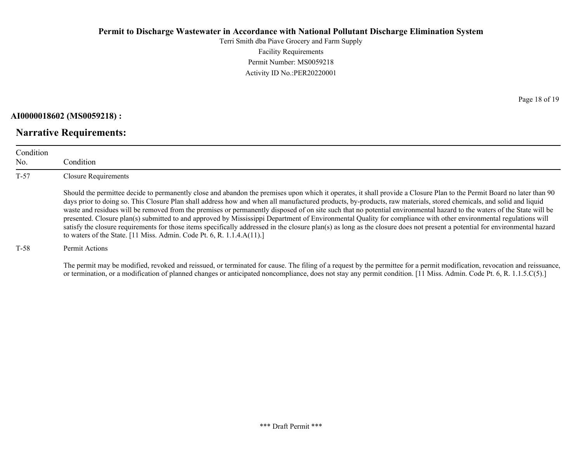Terri Smith dba Piave Grocery and Farm Supply Facility Requirements Permit Number: MS0059218 Activity ID No.:PER20220001

**AI0000018602 (MS0059218) :**

**Narrative Requirements:**

Condition No. Condition T-57 Closure Requirements Should the permittee decide to permanently close and abandon the premises upon which it operates, it shall provide a Closure Plan to the Permit Board no later than 90 days prior to doing so. This Closure Plan shall address how and when all manufactured products, by-products, raw materials, stored chemicals, and solid and liquid waste and residues will be removed from the premises or permanently disposed of on site such that no potential environmental hazard to the waters of the State will be presented. Closure plan(s) submitted to and approved by Mississippi Department of Environmental Quality for compliance with other environmental regulations will satisfy the closure requirements for those items specifically addressed in the closure plan(s) as long as the closure does not present a potential for environmental hazard to waters of the State. [11 Miss. Admin. Code Pt. 6, R. 1.1.4.A(11).]

T-58 Permit Actions

The permit may be modified, revoked and reissued, or terminated for cause. The filing of a request by the permittee for a permit modification, revocation and reissuance, or termination, or a modification of planned changes or anticipated noncompliance, does not stay any permit condition. [11 Miss. Admin. Code Pt. 6, R. 1.1.5.C(5).]

Page 18 of 19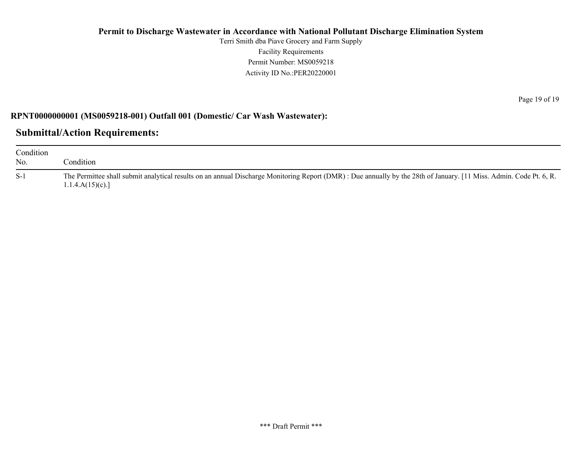Terri Smith dba Piave Grocery and Farm Supply Facility Requirements Permit Number: MS0059218 Activity ID No.:PER20220001

## **RPNT0000000001 (MS0059218-001) Outfall 001 (Domestic/ Car Wash Wastewater):**

## **Submittal/Action Requirements:**

| Condition<br>No. | condition.                                                                                                                                                                            |
|------------------|---------------------------------------------------------------------------------------------------------------------------------------------------------------------------------------|
| $S-1$            | The Permittee shall submit analytical results on an annual Discharge Monitoring Report (DMR): Due annually by the 28th of January. [11 Miss. Admin. Code Pt. 6, R.<br>1.1.4.A(15)(c). |

Page 19 of 19